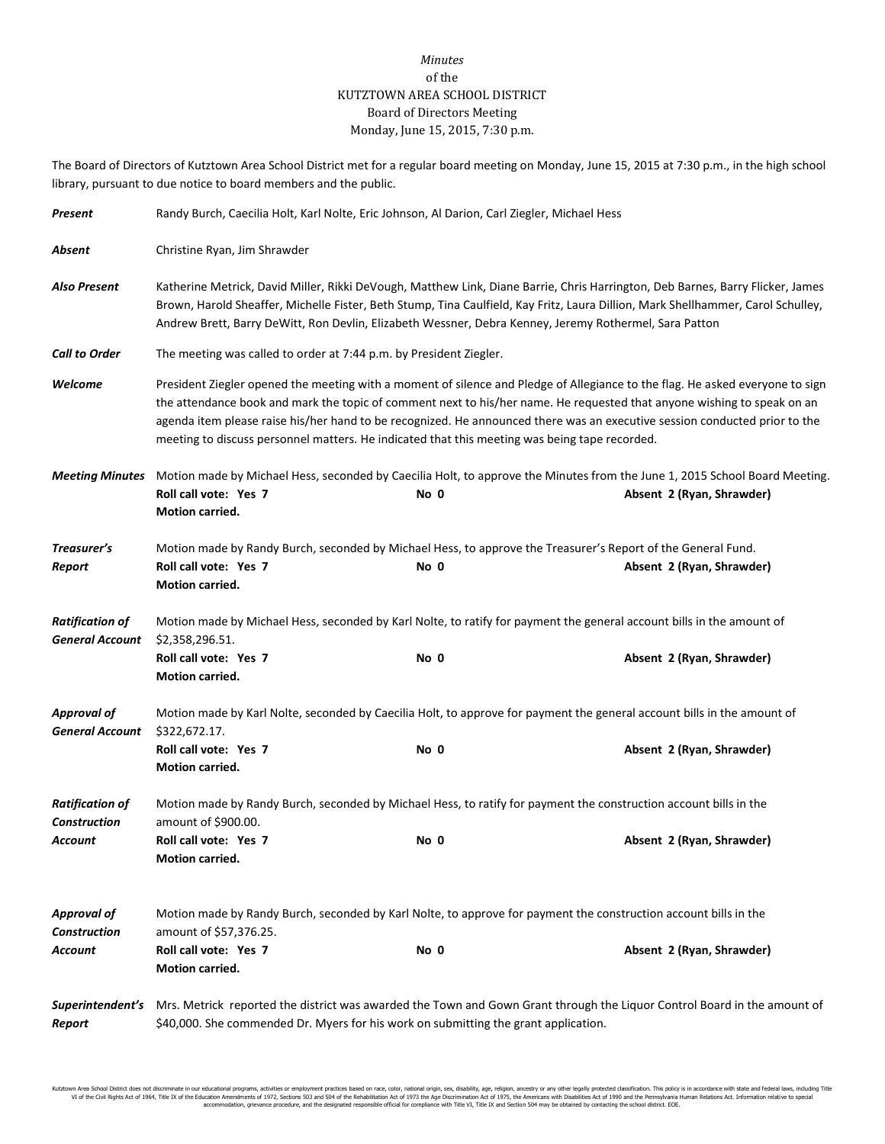## *Minutes* of the KUTZTOWN AREA SCHOOL DISTRICT Board of Directors Meeting Monday, June 15, 2015, 7:30 p.m.

The Board of Directors of Kutztown Area School District met for a regular board meeting on Monday, June 15, 2015 at 7:30 p.m., in the high school library, pursuant to due notice to board members and the public.

| Present                                          | Randy Burch, Caecilia Holt, Karl Nolte, Eric Johnson, Al Darion, Carl Ziegler, Michael Hess                                                                                                                                                                                                                                                                                                                                                                                             |      |                           |  |
|--------------------------------------------------|-----------------------------------------------------------------------------------------------------------------------------------------------------------------------------------------------------------------------------------------------------------------------------------------------------------------------------------------------------------------------------------------------------------------------------------------------------------------------------------------|------|---------------------------|--|
| Absent                                           | Christine Ryan, Jim Shrawder                                                                                                                                                                                                                                                                                                                                                                                                                                                            |      |                           |  |
| <b>Also Present</b>                              | Katherine Metrick, David Miller, Rikki DeVough, Matthew Link, Diane Barrie, Chris Harrington, Deb Barnes, Barry Flicker, James<br>Brown, Harold Sheaffer, Michelle Fister, Beth Stump, Tina Caulfield, Kay Fritz, Laura Dillion, Mark Shellhammer, Carol Schulley,<br>Andrew Brett, Barry DeWitt, Ron Devlin, Elizabeth Wessner, Debra Kenney, Jeremy Rothermel, Sara Patton                                                                                                            |      |                           |  |
| <b>Call to Order</b>                             | The meeting was called to order at 7:44 p.m. by President Ziegler.                                                                                                                                                                                                                                                                                                                                                                                                                      |      |                           |  |
| Welcome                                          | President Ziegler opened the meeting with a moment of silence and Pledge of Allegiance to the flag. He asked everyone to sign<br>the attendance book and mark the topic of comment next to his/her name. He requested that anyone wishing to speak on an<br>agenda item please raise his/her hand to be recognized. He announced there was an executive session conducted prior to the<br>meeting to discuss personnel matters. He indicated that this meeting was being tape recorded. |      |                           |  |
| <b>Meeting Minutes</b>                           | Motion made by Michael Hess, seconded by Caecilia Holt, to approve the Minutes from the June 1, 2015 School Board Meeting.<br>Roll call vote: Yes 7<br>Motion carried.                                                                                                                                                                                                                                                                                                                  | No 0 | Absent 2 (Ryan, Shrawder) |  |
| Treasurer's<br>Report                            | Motion made by Randy Burch, seconded by Michael Hess, to approve the Treasurer's Report of the General Fund.<br>Roll call vote: Yes 7<br>Motion carried.                                                                                                                                                                                                                                                                                                                                | No 0 | Absent 2 (Ryan, Shrawder) |  |
| <b>Ratification of</b><br><b>General Account</b> | Motion made by Michael Hess, seconded by Karl Nolte, to ratify for payment the general account bills in the amount of<br>\$2,358,296.51.                                                                                                                                                                                                                                                                                                                                                |      |                           |  |
|                                                  | Roll call vote: Yes 7<br>Motion carried.                                                                                                                                                                                                                                                                                                                                                                                                                                                | No 0 | Absent 2 (Ryan, Shrawder) |  |
| <b>Approval of</b><br><b>General Account</b>     | Motion made by Karl Nolte, seconded by Caecilia Holt, to approve for payment the general account bills in the amount of<br>\$322,672.17.                                                                                                                                                                                                                                                                                                                                                |      |                           |  |
|                                                  | Roll call vote: Yes 7<br>Motion carried.                                                                                                                                                                                                                                                                                                                                                                                                                                                | No 0 | Absent 2 (Ryan, Shrawder) |  |
| <b>Ratification of</b><br><b>Construction</b>    | Motion made by Randy Burch, seconded by Michael Hess, to ratify for payment the construction account bills in the<br>amount of \$900.00.                                                                                                                                                                                                                                                                                                                                                |      |                           |  |
| Account                                          | Roll call vote: Yes 7<br>Motion carried.                                                                                                                                                                                                                                                                                                                                                                                                                                                | No 0 | Absent 2 (Ryan, Shrawder) |  |
| Approval of<br><b>Construction</b>               | Motion made by Randy Burch, seconded by Karl Nolte, to approve for payment the construction account bills in the<br>amount of \$57,376.25.                                                                                                                                                                                                                                                                                                                                              |      |                           |  |
| Account                                          | Roll call vote: Yes 7<br><b>Motion carried.</b>                                                                                                                                                                                                                                                                                                                                                                                                                                         | No 0 | Absent 2 (Ryan, Shrawder) |  |
| Superintendent's<br>Report                       | Mrs. Metrick reported the district was awarded the Town and Gown Grant through the Liquor Control Board in the amount of<br>\$40,000. She commended Dr. Myers for his work on submitting the grant application.                                                                                                                                                                                                                                                                         |      |                           |  |

Kutztown Area School District does not discriminate in our educational programs, activities or employment practices based on race, color, national origin, sex, disability, age, religion, ancestry or any other leally prote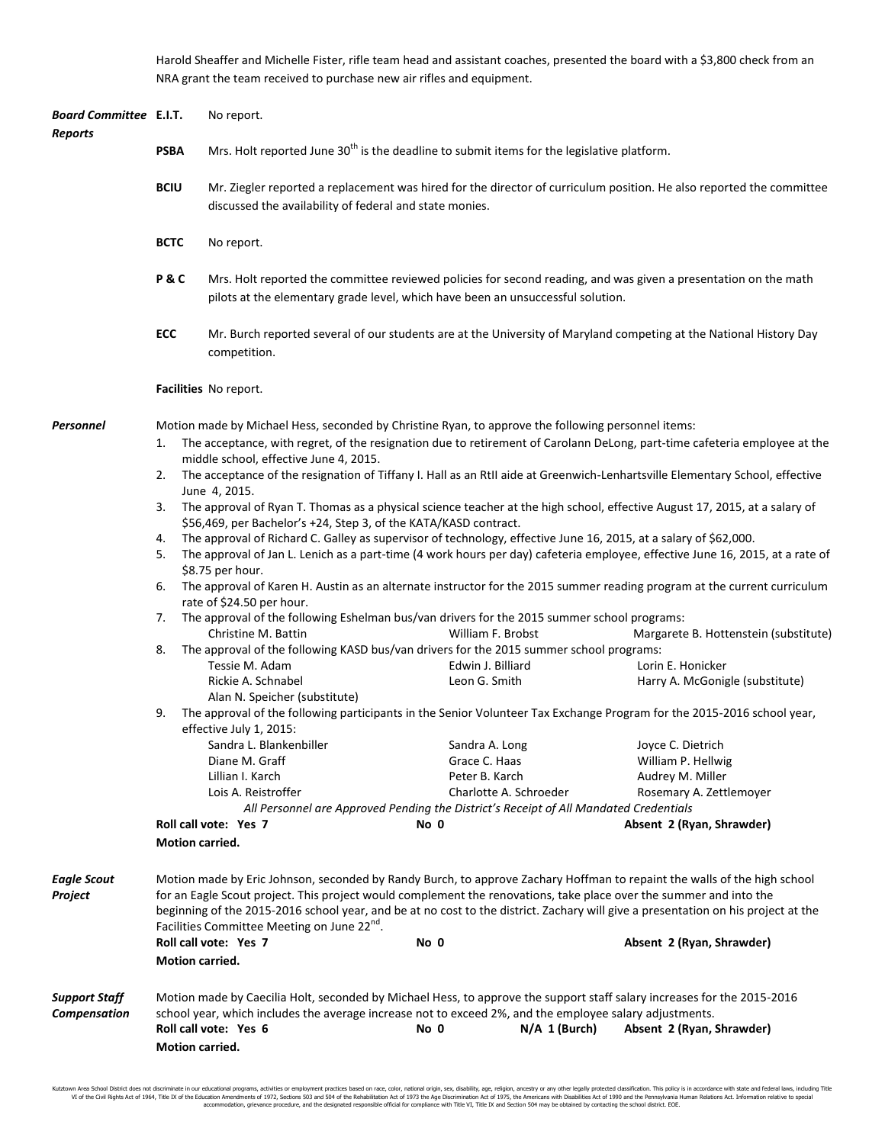Harold Sheaffer and Michelle Fister, rifle team head and assistant coaches, presented the board with a \$3,800 check from an NRA grant the team received to purchase new air rifles and equipment.

| Board Committee E.I.T.<br>Reports |                                                                                                                                                                                                                                                                                                                                                                                                                                                | No report.                                                                                                                                                                                                                                                  |                                    |                        |                                                                                                                           |  |  |
|-----------------------------------|------------------------------------------------------------------------------------------------------------------------------------------------------------------------------------------------------------------------------------------------------------------------------------------------------------------------------------------------------------------------------------------------------------------------------------------------|-------------------------------------------------------------------------------------------------------------------------------------------------------------------------------------------------------------------------------------------------------------|------------------------------------|------------------------|---------------------------------------------------------------------------------------------------------------------------|--|--|
|                                   | <b>PSBA</b>                                                                                                                                                                                                                                                                                                                                                                                                                                    | Mrs. Holt reported June 30 <sup>th</sup> is the deadline to submit items for the legislative platform.                                                                                                                                                      |                                    |                        |                                                                                                                           |  |  |
|                                   | <b>BCIU</b>                                                                                                                                                                                                                                                                                                                                                                                                                                    | Mr. Ziegler reported a replacement was hired for the director of curriculum position. He also reported the committee<br>discussed the availability of federal and state monies.                                                                             |                                    |                        |                                                                                                                           |  |  |
|                                   | <b>BCTC</b>                                                                                                                                                                                                                                                                                                                                                                                                                                    | No report.                                                                                                                                                                                                                                                  |                                    |                        |                                                                                                                           |  |  |
|                                   | P&C                                                                                                                                                                                                                                                                                                                                                                                                                                            | Mrs. Holt reported the committee reviewed policies for second reading, and was given a presentation on the math<br>pilots at the elementary grade level, which have been an unsuccessful solution.                                                          |                                    |                        |                                                                                                                           |  |  |
|                                   | ECC                                                                                                                                                                                                                                                                                                                                                                                                                                            | Mr. Burch reported several of our students are at the University of Maryland competing at the National History Day<br>competition.                                                                                                                          |                                    |                        |                                                                                                                           |  |  |
|                                   |                                                                                                                                                                                                                                                                                                                                                                                                                                                | Facilities No report.                                                                                                                                                                                                                                       |                                    |                        |                                                                                                                           |  |  |
| Personnel                         | Motion made by Michael Hess, seconded by Christine Ryan, to approve the following personnel items:                                                                                                                                                                                                                                                                                                                                             |                                                                                                                                                                                                                                                             |                                    |                        |                                                                                                                           |  |  |
|                                   | 1.                                                                                                                                                                                                                                                                                                                                                                                                                                             |                                                                                                                                                                                                                                                             |                                    |                        | The acceptance, with regret, of the resignation due to retirement of Carolann DeLong, part-time cafeteria employee at the |  |  |
|                                   | 2.                                                                                                                                                                                                                                                                                                                                                                                                                                             | middle school, effective June 4, 2015.<br>The acceptance of the resignation of Tiffany I. Hall as an RtII aide at Greenwich-Lenhartsville Elementary School, effective<br>June 4, 2015.                                                                     |                                    |                        |                                                                                                                           |  |  |
|                                   | 3.                                                                                                                                                                                                                                                                                                                                                                                                                                             | The approval of Ryan T. Thomas as a physical science teacher at the high school, effective August 17, 2015, at a salary of<br>\$56,469, per Bachelor's +24, Step 3, of the KATA/KASD contract.                                                              |                                    |                        |                                                                                                                           |  |  |
|                                   | 4.                                                                                                                                                                                                                                                                                                                                                                                                                                             | The approval of Richard C. Galley as supervisor of technology, effective June 16, 2015, at a salary of \$62,000.                                                                                                                                            |                                    |                        |                                                                                                                           |  |  |
|                                   | 5.                                                                                                                                                                                                                                                                                                                                                                                                                                             | The approval of Jan L. Lenich as a part-time (4 work hours per day) cafeteria employee, effective June 16, 2015, at a rate of<br>\$8.75 per hour.                                                                                                           |                                    |                        |                                                                                                                           |  |  |
|                                   | 6.                                                                                                                                                                                                                                                                                                                                                                                                                                             | The approval of Karen H. Austin as an alternate instructor for the 2015 summer reading program at the current curriculum<br>rate of \$24.50 per hour.                                                                                                       |                                    |                        |                                                                                                                           |  |  |
|                                   | 7.                                                                                                                                                                                                                                                                                                                                                                                                                                             | The approval of the following Eshelman bus/van drivers for the 2015 summer school programs:                                                                                                                                                                 |                                    |                        |                                                                                                                           |  |  |
|                                   |                                                                                                                                                                                                                                                                                                                                                                                                                                                | Christine M. Battin                                                                                                                                                                                                                                         | William F. Brobst                  |                        | Margarete B. Hottenstein (substitute)                                                                                     |  |  |
|                                   | 8.                                                                                                                                                                                                                                                                                                                                                                                                                                             | The approval of the following KASD bus/van drivers for the 2015 summer school programs:                                                                                                                                                                     |                                    |                        |                                                                                                                           |  |  |
|                                   |                                                                                                                                                                                                                                                                                                                                                                                                                                                | Tessie M. Adam<br>Rickie A. Schnabel                                                                                                                                                                                                                        | Edwin J. Billiard<br>Leon G. Smith |                        | Lorin E. Honicker<br>Harry A. McGonigle (substitute)                                                                      |  |  |
|                                   |                                                                                                                                                                                                                                                                                                                                                                                                                                                | Alan N. Speicher (substitute)                                                                                                                                                                                                                               |                                    |                        |                                                                                                                           |  |  |
|                                   | The approval of the following participants in the Senior Volunteer Tax Exchange Program for the 2015-2016 school year,<br>9.                                                                                                                                                                                                                                                                                                                   |                                                                                                                                                                                                                                                             |                                    |                        |                                                                                                                           |  |  |
|                                   | effective July 1, 2015:                                                                                                                                                                                                                                                                                                                                                                                                                        |                                                                                                                                                                                                                                                             |                                    |                        |                                                                                                                           |  |  |
|                                   |                                                                                                                                                                                                                                                                                                                                                                                                                                                | Sandra L. Blankenbiller                                                                                                                                                                                                                                     | Sandra A. Long                     |                        | Joyce C. Dietrich                                                                                                         |  |  |
|                                   |                                                                                                                                                                                                                                                                                                                                                                                                                                                | Diane M. Graff                                                                                                                                                                                                                                              | Grace C. Haas                      |                        | William P. Hellwig                                                                                                        |  |  |
|                                   |                                                                                                                                                                                                                                                                                                                                                                                                                                                | Lillian I. Karch                                                                                                                                                                                                                                            | Peter B. Karch                     |                        | Audrey M. Miller                                                                                                          |  |  |
|                                   |                                                                                                                                                                                                                                                                                                                                                                                                                                                | Lois A. Reistroffer                                                                                                                                                                                                                                         |                                    | Charlotte A. Schroeder | Rosemary A. Zettlemoyer                                                                                                   |  |  |
|                                   | All Personnel are Approved Pending the District's Receipt of All Mandated Credentials<br>Roll call vote: Yes 7<br>Absent 2 (Ryan, Shrawder)<br>No 0                                                                                                                                                                                                                                                                                            |                                                                                                                                                                                                                                                             |                                    |                        |                                                                                                                           |  |  |
|                                   | Motion carried.                                                                                                                                                                                                                                                                                                                                                                                                                                |                                                                                                                                                                                                                                                             |                                    |                        |                                                                                                                           |  |  |
| Eagle Scout<br>Project            | Motion made by Eric Johnson, seconded by Randy Burch, to approve Zachary Hoffman to repaint the walls of the high school<br>for an Eagle Scout project. This project would complement the renovations, take place over the summer and into the<br>beginning of the 2015-2016 school year, and be at no cost to the district. Zachary will give a presentation on his project at the<br>Facilities Committee Meeting on June 22 <sup>nd</sup> . |                                                                                                                                                                                                                                                             |                                    |                        |                                                                                                                           |  |  |
|                                   |                                                                                                                                                                                                                                                                                                                                                                                                                                                | Roll call vote: Yes 7                                                                                                                                                                                                                                       | No 0                               |                        | Absent 2 (Ryan, Shrawder)                                                                                                 |  |  |
|                                   | Motion carried.                                                                                                                                                                                                                                                                                                                                                                                                                                |                                                                                                                                                                                                                                                             |                                    |                        |                                                                                                                           |  |  |
| Support Staff<br>Compensation     | Motion carried.                                                                                                                                                                                                                                                                                                                                                                                                                                | Motion made by Caecilia Holt, seconded by Michael Hess, to approve the support staff salary increases for the 2015-2016<br>school year, which includes the average increase not to exceed 2%, and the employee salary adjustments.<br>Roll call vote: Yes 6 | No 0                               | $N/A$ 1 (Burch)        | Absent 2 (Ryan, Shrawder)                                                                                                 |  |  |
|                                   |                                                                                                                                                                                                                                                                                                                                                                                                                                                |                                                                                                                                                                                                                                                             |                                    |                        |                                                                                                                           |  |  |

Kutztown Area School District does not discriminate in our educational programs, activities or employment practices based on race, color, national origin, sex, disability, age, religion, ancestry or any other leally prote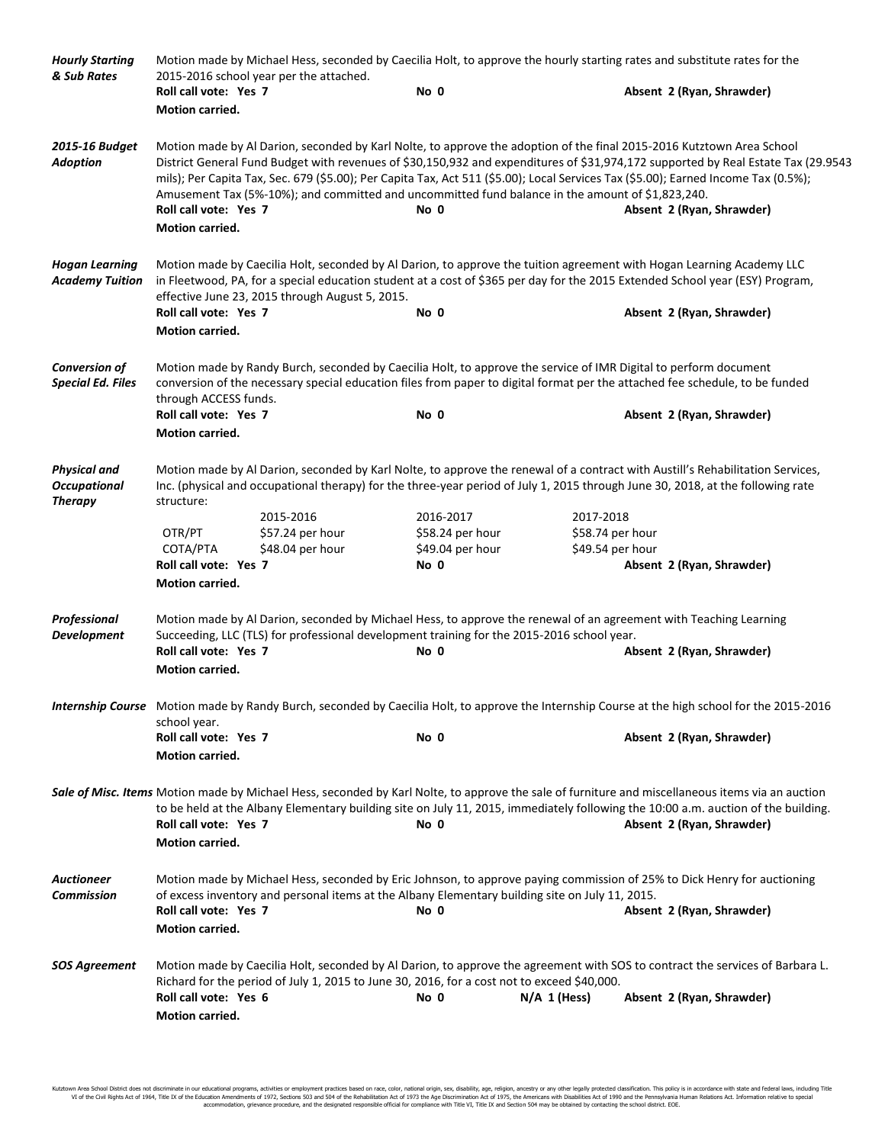| <b>Hourly Starting</b><br>& Sub Rates                        |                                                                                                                                                                                                                                                                                                                                                                                                                                                                                                                                                                    | Motion made by Michael Hess, seconded by Caecilia Holt, to approve the hourly starting rates and substitute rates for the<br>2015-2016 school year per the attached. |                                      |                                      |                                                                                                                                                                                                                                                                                                                    |  |
|--------------------------------------------------------------|--------------------------------------------------------------------------------------------------------------------------------------------------------------------------------------------------------------------------------------------------------------------------------------------------------------------------------------------------------------------------------------------------------------------------------------------------------------------------------------------------------------------------------------------------------------------|----------------------------------------------------------------------------------------------------------------------------------------------------------------------|--------------------------------------|--------------------------------------|--------------------------------------------------------------------------------------------------------------------------------------------------------------------------------------------------------------------------------------------------------------------------------------------------------------------|--|
|                                                              | Roll call vote: Yes 7                                                                                                                                                                                                                                                                                                                                                                                                                                                                                                                                              |                                                                                                                                                                      | No 0                                 |                                      | Absent 2 (Ryan, Shrawder)                                                                                                                                                                                                                                                                                          |  |
|                                                              | <b>Motion carried.</b>                                                                                                                                                                                                                                                                                                                                                                                                                                                                                                                                             |                                                                                                                                                                      |                                      |                                      |                                                                                                                                                                                                                                                                                                                    |  |
| 2015-16 Budget<br><b>Adoption</b>                            | Motion made by Al Darion, seconded by Karl Nolte, to approve the adoption of the final 2015-2016 Kutztown Area School<br>District General Fund Budget with revenues of \$30,150,932 and expenditures of \$31,974,172 supported by Real Estate Tax (29.9543<br>mils); Per Capita Tax, Sec. 679 (\$5.00); Per Capita Tax, Act 511 (\$5.00); Local Services Tax (\$5.00); Earned Income Tax (0.5%);<br>Amusement Tax (5%-10%); and committed and uncommitted fund balance in the amount of \$1,823,240.<br>Roll call vote: Yes 7<br>No 0<br>Absent 2 (Ryan, Shrawder) |                                                                                                                                                                      |                                      |                                      |                                                                                                                                                                                                                                                                                                                    |  |
|                                                              | Motion carried.                                                                                                                                                                                                                                                                                                                                                                                                                                                                                                                                                    |                                                                                                                                                                      |                                      |                                      |                                                                                                                                                                                                                                                                                                                    |  |
| <b>Hogan Learning</b><br><b>Academy Tuition</b>              | Roll call vote: Yes 7<br>Motion carried.                                                                                                                                                                                                                                                                                                                                                                                                                                                                                                                           | effective June 23, 2015 through August 5, 2015.                                                                                                                      | No 0                                 |                                      | Motion made by Caecilia Holt, seconded by Al Darion, to approve the tuition agreement with Hogan Learning Academy LLC<br>in Fleetwood, PA, for a special education student at a cost of \$365 per day for the 2015 Extended School year (ESY) Program,<br>Absent 2 (Ryan, Shrawder)                                |  |
|                                                              |                                                                                                                                                                                                                                                                                                                                                                                                                                                                                                                                                                    |                                                                                                                                                                      |                                      |                                      |                                                                                                                                                                                                                                                                                                                    |  |
| <b>Conversion of</b><br><b>Special Ed. Files</b>             | Motion made by Randy Burch, seconded by Caecilia Holt, to approve the service of IMR Digital to perform document<br>conversion of the necessary special education files from paper to digital format per the attached fee schedule, to be funded<br>through ACCESS funds.                                                                                                                                                                                                                                                                                          |                                                                                                                                                                      |                                      |                                      |                                                                                                                                                                                                                                                                                                                    |  |
|                                                              | Roll call vote: Yes 7                                                                                                                                                                                                                                                                                                                                                                                                                                                                                                                                              |                                                                                                                                                                      | No 0                                 |                                      | Absent 2 (Ryan, Shrawder)                                                                                                                                                                                                                                                                                          |  |
|                                                              | Motion carried.                                                                                                                                                                                                                                                                                                                                                                                                                                                                                                                                                    |                                                                                                                                                                      |                                      |                                      |                                                                                                                                                                                                                                                                                                                    |  |
| <b>Physical and</b><br><b>Occupational</b><br><b>Therapy</b> | Motion made by Al Darion, seconded by Karl Nolte, to approve the renewal of a contract with Austill's Rehabilitation Services,<br>Inc. (physical and occupational therapy) for the three-year period of July 1, 2015 through June 30, 2018, at the following rate<br>structure:                                                                                                                                                                                                                                                                                    |                                                                                                                                                                      |                                      |                                      |                                                                                                                                                                                                                                                                                                                    |  |
|                                                              |                                                                                                                                                                                                                                                                                                                                                                                                                                                                                                                                                                    | 2015-2016                                                                                                                                                            | 2016-2017                            | 2017-2018                            |                                                                                                                                                                                                                                                                                                                    |  |
|                                                              | OTR/PT<br>COTA/PTA                                                                                                                                                                                                                                                                                                                                                                                                                                                                                                                                                 | \$57.24 per hour<br>\$48.04 per hour                                                                                                                                 | \$58.24 per hour<br>\$49.04 per hour | \$58.74 per hour<br>\$49.54 per hour |                                                                                                                                                                                                                                                                                                                    |  |
|                                                              | Roll call vote: Yes 7                                                                                                                                                                                                                                                                                                                                                                                                                                                                                                                                              |                                                                                                                                                                      | No 0                                 |                                      | Absent 2 (Ryan, Shrawder)                                                                                                                                                                                                                                                                                          |  |
|                                                              | Motion carried.                                                                                                                                                                                                                                                                                                                                                                                                                                                                                                                                                    |                                                                                                                                                                      |                                      |                                      |                                                                                                                                                                                                                                                                                                                    |  |
|                                                              |                                                                                                                                                                                                                                                                                                                                                                                                                                                                                                                                                                    |                                                                                                                                                                      |                                      |                                      |                                                                                                                                                                                                                                                                                                                    |  |
| <b>Professional</b><br><b>Development</b>                    | Motion made by Al Darion, seconded by Michael Hess, to approve the renewal of an agreement with Teaching Learning<br>Succeeding, LLC (TLS) for professional development training for the 2015-2016 school year.                                                                                                                                                                                                                                                                                                                                                    |                                                                                                                                                                      |                                      |                                      |                                                                                                                                                                                                                                                                                                                    |  |
|                                                              | Roll call vote: Yes 7                                                                                                                                                                                                                                                                                                                                                                                                                                                                                                                                              |                                                                                                                                                                      | No 0                                 |                                      | Absent 2 (Ryan, Shrawder)                                                                                                                                                                                                                                                                                          |  |
|                                                              | Motion carried.                                                                                                                                                                                                                                                                                                                                                                                                                                                                                                                                                    |                                                                                                                                                                      |                                      |                                      |                                                                                                                                                                                                                                                                                                                    |  |
|                                                              | school year.                                                                                                                                                                                                                                                                                                                                                                                                                                                                                                                                                       |                                                                                                                                                                      |                                      |                                      | Internship Course Motion made by Randy Burch, seconded by Caecilia Holt, to approve the Internship Course at the high school for the 2015-2016                                                                                                                                                                     |  |
|                                                              | Roll call vote: Yes 7<br>Motion carried.                                                                                                                                                                                                                                                                                                                                                                                                                                                                                                                           |                                                                                                                                                                      | No 0                                 |                                      | Absent 2 (Ryan, Shrawder)                                                                                                                                                                                                                                                                                          |  |
|                                                              |                                                                                                                                                                                                                                                                                                                                                                                                                                                                                                                                                                    |                                                                                                                                                                      |                                      |                                      |                                                                                                                                                                                                                                                                                                                    |  |
|                                                              | Roll call vote: Yes 7<br><b>Motion carried.</b>                                                                                                                                                                                                                                                                                                                                                                                                                                                                                                                    |                                                                                                                                                                      | No 0                                 |                                      | Sale of Misc. Items Motion made by Michael Hess, seconded by Karl Nolte, to approve the sale of furniture and miscellaneous items via an auction<br>to be held at the Albany Elementary building site on July 11, 2015, immediately following the 10:00 a.m. auction of the building.<br>Absent 2 (Ryan, Shrawder) |  |
|                                                              |                                                                                                                                                                                                                                                                                                                                                                                                                                                                                                                                                                    |                                                                                                                                                                      |                                      |                                      |                                                                                                                                                                                                                                                                                                                    |  |
| <b>Auctioneer</b><br><b>Commission</b>                       |                                                                                                                                                                                                                                                                                                                                                                                                                                                                                                                                                                    | of excess inventory and personal items at the Albany Elementary building site on July 11, 2015.                                                                      |                                      |                                      | Motion made by Michael Hess, seconded by Eric Johnson, to approve paying commission of 25% to Dick Henry for auctioning                                                                                                                                                                                            |  |
|                                                              | Roll call vote: Yes 7                                                                                                                                                                                                                                                                                                                                                                                                                                                                                                                                              |                                                                                                                                                                      | No 0                                 |                                      | Absent 2 (Ryan, Shrawder)                                                                                                                                                                                                                                                                                          |  |
|                                                              | <b>Motion carried.</b>                                                                                                                                                                                                                                                                                                                                                                                                                                                                                                                                             |                                                                                                                                                                      |                                      |                                      |                                                                                                                                                                                                                                                                                                                    |  |
| <b>SOS Agreement</b>                                         | Roll call vote: Yes 6                                                                                                                                                                                                                                                                                                                                                                                                                                                                                                                                              | Richard for the period of July 1, 2015 to June 30, 2016, for a cost not to exceed \$40,000.                                                                          | No 0                                 | $N/A$ 1 (Hess)                       | Motion made by Caecilia Holt, seconded by Al Darion, to approve the agreement with SOS to contract the services of Barbara L.<br>Absent 2 (Ryan, Shrawder)                                                                                                                                                         |  |
|                                                              | Motion carried.                                                                                                                                                                                                                                                                                                                                                                                                                                                                                                                                                    |                                                                                                                                                                      |                                      |                                      |                                                                                                                                                                                                                                                                                                                    |  |